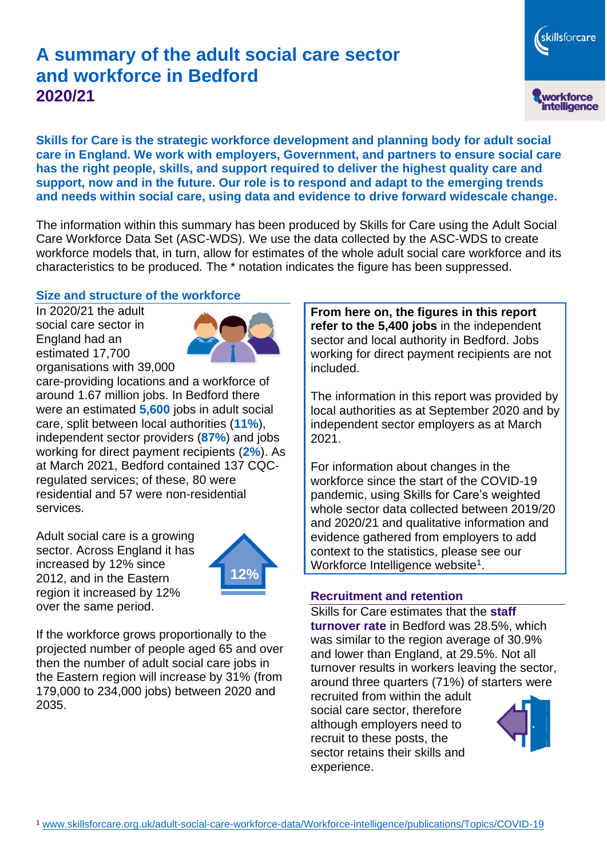# **A summary of the adult social care sector and workforce in Bedford 2020/21**

**Skills for Care is the strategic workforce development and planning body for adult social care in England. We work with employers, Government, and partners to ensure social care has the right people, skills, and support required to deliver the highest quality care and support, now and in the future. Our role is to respond and adapt to the emerging trends and needs within social care, using data and evidence to drive forward widescale change.**

The information within this summary has been produced by Skills for Care using the Adult Social Care Workforce Data Set (ASC-WDS). We use the data collected by the ASC-WDS to create workforce models that, in turn, allow for estimates of the whole adult social care workforce and its characteristics to be produced. The \* notation indicates the figure has been suppressed.

#### **Size and structure of the workforce**

In 2020/21 the adult social care sector in England had an estimated 17,700 organisations with 39,000



care-providing locations and a workforce of around 1.67 million jobs. In Bedford there were an estimated **5,600** jobs in adult social care, split between local authorities (**11%**), independent sector providers (**87%**) and jobs working for direct payment recipients (**2%**). As at March 2021, Bedford contained 137 CQCregulated services; of these, 80 were residential and 57 were non-residential services.

Adult social care is a growing sector. Across England it has increased by 12% since 2012, and in the Eastern region it increased by 12% over the same period.



If the workforce grows proportionally to the projected number of people aged 65 and over then the number of adult social care jobs in the Eastern region will increase by 31% (from 179,000 to 234,000 jobs) between 2020 and 2035.

**From here on, the figures in this report refer to the 5,400 jobs** in the independent sector and local authority in Bedford. Jobs working for direct payment recipients are not included.

The information in this report was provided by local authorities as at September 2020 and by independent sector employers as at March 2021.

For information about changes in the workforce since the start of the COVID-19 pandemic, using Skills for Care's weighted whole sector data collected between 2019/20 and 2020/21 and qualitative information and evidence gathered from employers to add context to the statistics, please see our Workforce Intelligence website<sup>1</sup>.

#### **Recruitment and retention**

Skills for Care estimates that the **staff turnover rate** in Bedford was 28.5%, which was similar to the region average of 30.9% and lower than England, at 29.5%. Not all turnover results in workers leaving the sector, around three quarters (71%) of starters were

recruited from within the adult social care sector, therefore although employers need to recruit to these posts, the sector retains their skills and experience.



skillsforcare

workforce<br>intelligence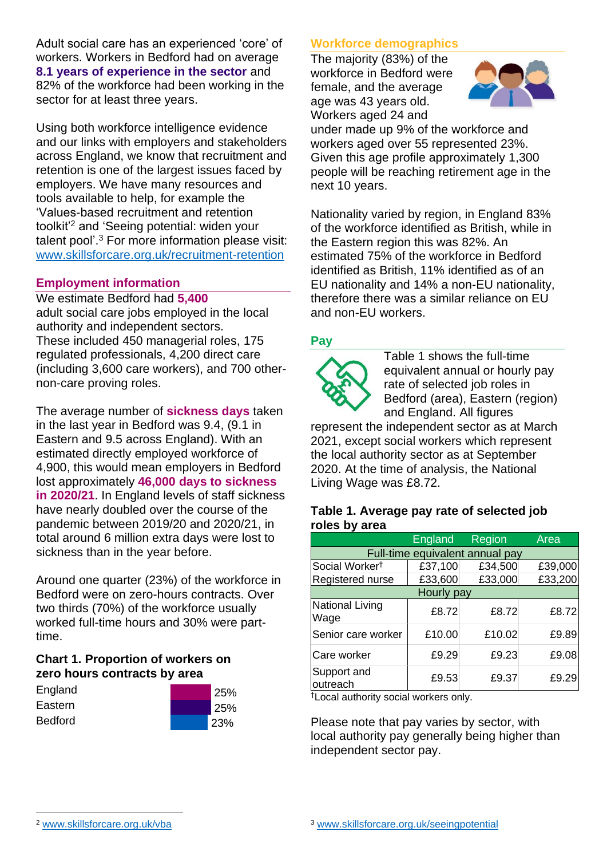Adult social care has an experienced 'core' of workers. Workers in Bedford had on average **8.1 years of experience in the sector** and 82% of the workforce had been working in the sector for at least three years.

Using both workforce intelligence evidence and our links with employers and stakeholders across England, we know that recruitment and retention is one of the largest issues faced by employers. We have many resources and tools available to help, for example the 'Values-based recruitment and retention toolkit'<sup>2</sup> and 'Seeing potential: widen your talent pool'. <sup>3</sup> For more information please visit: [www.skillsforcare.org.uk/recruitment-retention](http://www.skillsforcare.org.uk/recruitment-retention)

#### **Employment information**

We estimate Bedford had **5,400** adult social care jobs employed in the local authority and independent sectors. These included 450 managerial roles, 175 regulated professionals, 4,200 direct care (including 3,600 care workers), and 700 othernon-care proving roles.

The average number of **sickness days** taken in the last year in Bedford was 9.4, (9.1 in Eastern and 9.5 across England). With an estimated directly employed workforce of 4,900, this would mean employers in Bedford lost approximately **46,000 days to sickness in 2020/21**. In England levels of staff sickness have nearly doubled over the course of the pandemic between 2019/20 and 2020/21, in total around 6 million extra days were lost to sickness than in the year before.

Around one quarter (23%) of the workforce in Bedford were on zero-hours contracts. Over two thirds (70%) of the workforce usually worked full-time hours and 30% were parttime.

#### **Chart 1. Proportion of workers on zero hours contracts by area**

| England        | 25%   |
|----------------|-------|
| Eastern        | l 25% |
| <b>Bedford</b> | 23%   |

# **Workforce demographics**

The majority (83%) of the workforce in Bedford were female, and the average age was 43 years old. Workers aged 24 and



under made up 9% of the workforce and workers aged over 55 represented 23%. Given this age profile approximately 1,300 people will be reaching retirement age in the next 10 years.

Nationality varied by region, in England 83% of the workforce identified as British, while in the Eastern region this was 82%. An estimated 75% of the workforce in Bedford identified as British, 11% identified as of an EU nationality and 14% a non-EU nationality, therefore there was a similar reliance on EU and non-EU workers.

# **Pay**



Table 1 shows the full-time equivalent annual or hourly pay rate of selected job roles in Bedford (area), Eastern (region) and England. All figures

represent the independent sector as at March 2021, except social workers which represent the local authority sector as at September 2020. At the time of analysis, the National Living Wage was £8.72.

#### **Table 1. Average pay rate of selected job roles by area**

|                                 | <b>England</b> | Region  | <b>Area</b> |
|---------------------------------|----------------|---------|-------------|
| Full-time equivalent annual pay |                |         |             |
| Social Worker <sup>t</sup>      | £37,100        | £34,500 | £39,000     |
| Registered nurse                | £33,600        | £33,000 | £33,200     |
| Hourly pay                      |                |         |             |
| National Living<br>Wage         | £8.72          | £8.72   | £8.72       |
| Senior care worker              | £10.00         | £10.02  | £9.89       |
| Care worker                     | £9.29          | £9.23   | £9.08       |
| Support and<br>outreach         | £9.53          | £9.37   | £9.29       |

†Local authority social workers only.

Please note that pay varies by sector, with local authority pay generally being higher than independent sector pay.